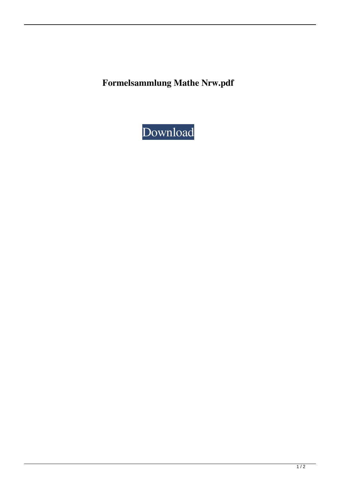**Formelsammlung Mathe Nrw.pdf**